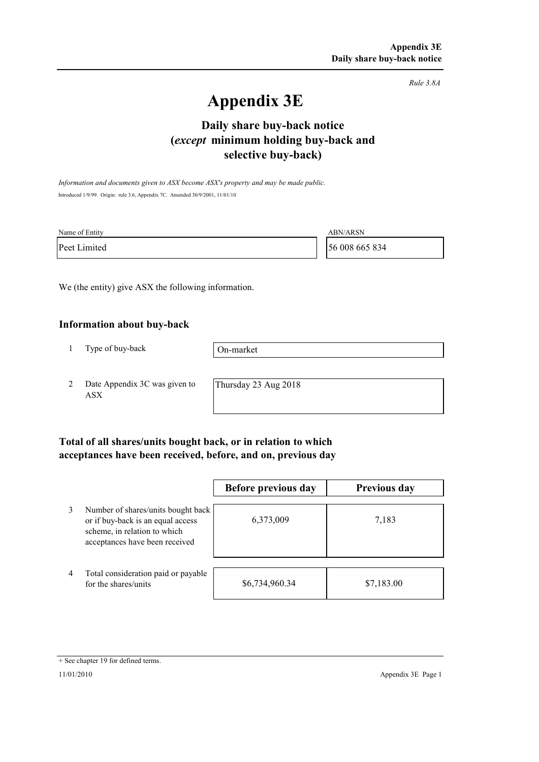*Rule 3.8A*

# **Appendix 3E**

# **selective buy-back) Daily share buy-back notice (***except* **minimum holding buy-back and**

*Information and documents given to ASX become ASX's property and may be made public.* Introduced 1/9/99. Origin: rule 3.6, Appendix 7C. Amended 30/9/2001, 11/01/10

| Name of Entity | <b>ABN/ARSN</b> |
|----------------|-----------------|
| Peet Limited   | 56 008 665 834  |

We (the entity) give ASX the following information.

#### **Information about buy-back**

1 Type of buy-back

On-market

2 Date Appendix 3C was given to ASX

Thursday 23 Aug 2018

### **Total of all shares/units bought back, or in relation to which acceptances have been received, before, and on, previous day**

|                |                                                                                                                                           | Before previous day | <b>Previous day</b> |
|----------------|-------------------------------------------------------------------------------------------------------------------------------------------|---------------------|---------------------|
| 3              | Number of shares/units bought back<br>or if buy-back is an equal access<br>scheme, in relation to which<br>acceptances have been received | 6,373,009           | 7,183               |
| $\overline{4}$ | Total consideration paid or payable<br>for the shares/units                                                                               | \$6,734,960.34      | \$7,183.00          |

<sup>+</sup> See chapter 19 for defined terms.